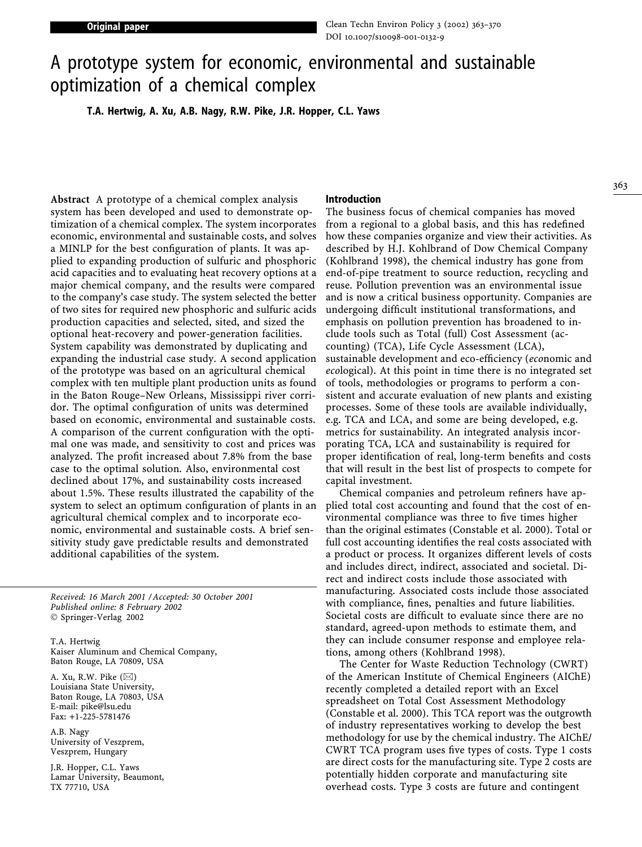# A prototype system for economic, environmental and sustainable optimization of a chemical complex

T.A. Hertwig, A. Xu, A.B. Nagy, R.W. Pike, J.R. Hopper, C.L. Yaws

Abstract A prototype of a chemical complex analysis system has been developed and used to demonstrate optimization of a chemical complex. The system incorporates economic, environmental and sustainable costs, and solves a MINLP for the best configuration of plants. It was applied to expanding production of sulfuric and phosphoric acid capacities and to evaluating heat recovery options at a major chemical company, and the results were compared to the company's case study. The system selected the better of two sites for required new phosphoric and sulfuric acids production capacities and selected, sited, and sized the optional heat-recovery and power-generation facilities. System capability was demonstrated by duplicating and expanding the industrial case study. A second application of the prototype was based on an agricultural chemical complex with ten multiple plant production units as found in the Baton Rouge–New Orleans, Mississippi river corridor. The optimal configuration of units was determined based on economic, environmental and sustainable costs. A comparison of the current configuration with the optimal one was made, and sensitivity to cost and prices was analyzed. The profit increased about 7.8% from the base case to the optimal solution. Also, environmental cost declined about 17%, and sustainability costs increased about 1.5%. These results illustrated the capability of the system to select an optimum configuration of plants in an agricultural chemical complex and to incorporate economic, environmental and sustainable costs. A brief sensitivity study gave predictable results and demonstrated additional capabilities of the system.

Received: 16 March 2001 / Accepted: 30 October 2001 Published online: 8 February 2002 Springer-Verlag 2002

T.A. Hertwig Kaiser Aluminum and Chemical Company, Baton Rouge, LA 70809, USA

A. Xu, R.W. Pike  $(\boxtimes)$ Louisiana State University, Baton Rouge, LA 70803, USA E-mail: pike@lsu.edu Fax: +1-225-5781476

A.B. Nagy University of Veszprem, Veszprem, Hungary

J.R. Hopper, C.L. Yaws Lamar University, Beaumont, TX 77710, USA

#### Introduction

The business focus of chemical companies has moved from a regional to a global basis, and this has redefined how these companies organize and view their activities. As described by H.J. Kohlbrand of Dow Chemical Company (Kohlbrand 1998), the chemical industry has gone from end-of-pipe treatment to source reduction, recycling and reuse. Pollution prevention was an environmental issue and is now a critical business opportunity. Companies are undergoing difficult institutional transformations, and emphasis on pollution prevention has broadened to include tools such as Total (full) Cost Assessment (accounting) (TCA), Life Cycle Assessment (LCA), sustainable development and eco-efficiency (economic and ecological). At this point in time there is no integrated set of tools, methodologies or programs to perform a consistent and accurate evaluation of new plants and existing processes. Some of these tools are available individually, e.g. TCA and LCA, and some are being developed, e.g. metrics for sustainability. An integrated analysis incorporating TCA, LCA and sustainability is required for proper identification of real, long-term benefits and costs that will result in the best list of prospects to compete for capital investment.

Chemical companies and petroleum refiners have applied total cost accounting and found that the cost of environmental compliance was three to five times higher than the original estimates (Constable et al. 2000). Total or full cost accounting identifies the real costs associated with a product or process. It organizes different levels of costs and includes direct, indirect, associated and societal. Direct and indirect costs include those associated with manufacturing. Associated costs include those associated with compliance, fines, penalties and future liabilities. Societal costs are difficult to evaluate since there are no standard, agreed-upon methods to estimate them, and they can include consumer response and employee relations, among others (Kohlbrand 1998).

The Center for Waste Reduction Technology (CWRT) of the American Institute of Chemical Engineers (AIChE) recently completed a detailed report with an Excel spreadsheet on Total Cost Assessment Methodology (Constable et al. 2000). This TCA report was the outgrowth of industry representatives working to develop the best methodology for use by the chemical industry. The AIChE/ CWRT TCA program uses five types of costs. Type 1 costs are direct costs for the manufacturing site. Type 2 costs are potentially hidden corporate and manufacturing site overhead costs. Type 3 costs are future and contingent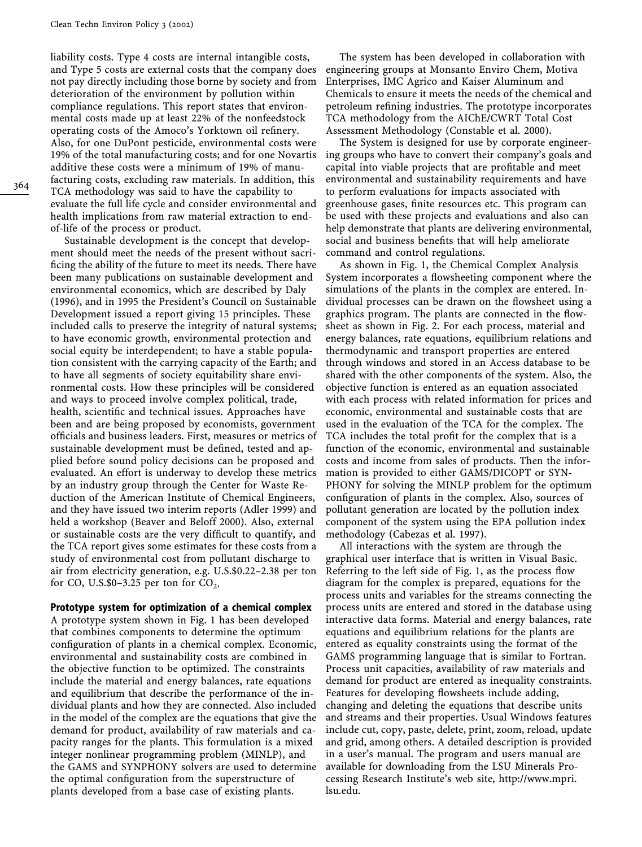liability costs. Type 4 costs are internal intangible costs, and Type 5 costs are external costs that the company does not pay directly including those borne by society and from deterioration of the environment by pollution within compliance regulations. This report states that environmental costs made up at least 22% of the nonfeedstock operating costs of the Amoco's Yorktown oil refinery. Also, for one DuPont pesticide, environmental costs were 19% of the total manufacturing costs; and for one Novartis additive these costs were a minimum of 19% of manufacturing costs, excluding raw materials. In addition, this TCA methodology was said to have the capability to evaluate the full life cycle and consider environmental and health implications from raw material extraction to endof-life of the process or product.

Sustainable development is the concept that development should meet the needs of the present without sacrificing the ability of the future to meet its needs. There have been many publications on sustainable development and environmental economics, which are described by Daly (1996), and in 1995 the President's Council on Sustainable Development issued a report giving 15 principles. These included calls to preserve the integrity of natural systems; to have economic growth, environmental protection and social equity be interdependent; to have a stable population consistent with the carrying capacity of the Earth; and to have all segments of society equitability share environmental costs. How these principles will be considered and ways to proceed involve complex political, trade, health, scientific and technical issues. Approaches have been and are being proposed by economists, government officials and business leaders. First, measures or metrics of sustainable development must be defined, tested and applied before sound policy decisions can be proposed and evaluated. An effort is underway to develop these metrics by an industry group through the Center for Waste Reduction of the American Institute of Chemical Engineers, and they have issued two interim reports (Adler 1999) and held a workshop (Beaver and Beloff 2000). Also, external or sustainable costs are the very difficult to quantify, and the TCA report gives some estimates for these costs from a study of environmental cost from pollutant discharge to air from electricity generation, e.g. U.S.\$0.22–2.38 per ton for CO, U.S. $\text{$}50 - 3.25$  per ton for CO<sub>2</sub>.

# Prototype system for optimization of a chemical complex

A prototype system shown in Fig. 1 has been developed that combines components to determine the optimum configuration of plants in a chemical complex. Economic, environmental and sustainability costs are combined in the objective function to be optimized. The constraints include the material and energy balances, rate equations and equilibrium that describe the performance of the individual plants and how they are connected. Also included in the model of the complex are the equations that give the demand for product, availability of raw materials and capacity ranges for the plants. This formulation is a mixed integer nonlinear programming problem (MINLP), and the GAMS and SYNPHONY solvers are used to determine the optimal configuration from the superstructure of plants developed from a base case of existing plants.

The system has been developed in collaboration with engineering groups at Monsanto Enviro Chem, Motiva Enterprises, IMC Agrico and Kaiser Aluminum and Chemicals to ensure it meets the needs of the chemical and petroleum refining industries. The prototype incorporates TCA methodology from the AIChE/CWRT Total Cost Assessment Methodology (Constable et al. 2000).

The System is designed for use by corporate engineering groups who have to convert their company's goals and capital into viable projects that are profitable and meet environmental and sustainability requirements and have to perform evaluations for impacts associated with greenhouse gases, finite resources etc. This program can be used with these projects and evaluations and also can help demonstrate that plants are delivering environmental, social and business benefits that will help ameliorate command and control regulations.

As shown in Fig. 1, the Chemical Complex Analysis System incorporates a flowsheeting component where the simulations of the plants in the complex are entered. Individual processes can be drawn on the flowsheet using a graphics program. The plants are connected in the flowsheet as shown in Fig. 2. For each process, material and energy balances, rate equations, equilibrium relations and thermodynamic and transport properties are entered through windows and stored in an Access database to be shared with the other components of the system. Also, the objective function is entered as an equation associated with each process with related information for prices and economic, environmental and sustainable costs that are used in the evaluation of the TCA for the complex. The TCA includes the total profit for the complex that is a function of the economic, environmental and sustainable costs and income from sales of products. Then the information is provided to either GAMS/DICOPT or SYN-PHONY for solving the MINLP problem for the optimum configuration of plants in the complex. Also, sources of pollutant generation are located by the pollution index component of the system using the EPA pollution index methodology (Cabezas et al. 1997).

All interactions with the system are through the graphical user interface that is written in Visual Basic. Referring to the left side of Fig. 1, as the process flow diagram for the complex is prepared, equations for the process units and variables for the streams connecting the process units are entered and stored in the database using interactive data forms. Material and energy balances, rate equations and equilibrium relations for the plants are entered as equality constraints using the format of the GAMS programming language that is similar to Fortran. Process unit capacities, availability of raw materials and demand for product are entered as inequality constraints. Features for developing flowsheets include adding, changing and deleting the equations that describe units and streams and their properties. Usual Windows features include cut, copy, paste, delete, print, zoom, reload, update and grid, among others. A detailed description is provided in a user's manual. The program and users manual are available for downloading from the LSU Minerals Processing Research Institute's web site, http://www.mpri. lsu.edu.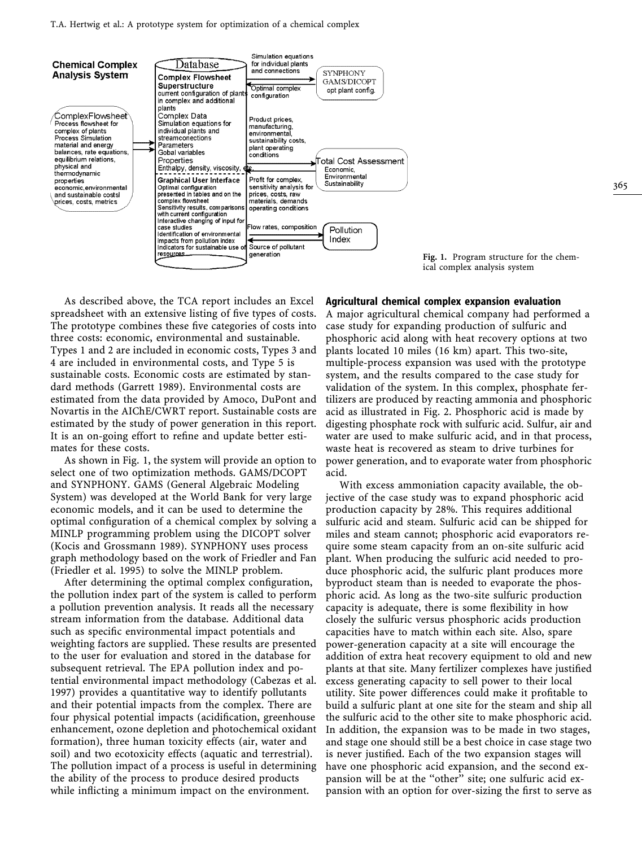

Fig. 1. Program structure for the chemical complex analysis system

As described above, the TCA report includes an Excel spreadsheet with an extensive listing of five types of costs. The prototype combines these five categories of costs into three costs: economic, environmental and sustainable. Types 1 and 2 are included in economic costs, Types 3 and 4 are included in environmental costs, and Type 5 is sustainable costs. Economic costs are estimated by standard methods (Garrett 1989). Environmental costs are estimated from the data provided by Amoco, DuPont and Novartis in the AIChE/CWRT report. Sustainable costs are estimated by the study of power generation in this report. It is an on-going effort to refine and update better estimates for these costs.

As shown in Fig. 1, the system will provide an option to select one of two optimization methods. GAMS/DCOPT and SYNPHONY. GAMS (General Algebraic Modeling System) was developed at the World Bank for very large economic models, and it can be used to determine the optimal configuration of a chemical complex by solving a MINLP programming problem using the DICOPT solver (Kocis and Grossmann 1989). SYNPHONY uses process graph methodology based on the work of Friedler and Fan (Friedler et al. 1995) to solve the MINLP problem.

After determining the optimal complex configuration, the pollution index part of the system is called to perform a pollution prevention analysis. It reads all the necessary stream information from the database. Additional data such as specific environmental impact potentials and weighting factors are supplied. These results are presented to the user for evaluation and stored in the database for subsequent retrieval. The EPA pollution index and potential environmental impact methodology (Cabezas et al. 1997) provides a quantitative way to identify pollutants and their potential impacts from the complex. There are four physical potential impacts (acidification, greenhouse enhancement, ozone depletion and photochemical oxidant formation), three human toxicity effects (air, water and soil) and two ecotoxicity effects (aquatic and terrestrial). The pollution impact of a process is useful in determining the ability of the process to produce desired products while inflicting a minimum impact on the environment.

Agricultural chemical complex expansion evaluation

A major agricultural chemical company had performed a case study for expanding production of sulfuric and phosphoric acid along with heat recovery options at two plants located 10 miles (16 km) apart. This two-site, multiple-process expansion was used with the prototype system, and the results compared to the case study for validation of the system. In this complex, phosphate fertilizers are produced by reacting ammonia and phosphoric acid as illustrated in Fig. 2. Phosphoric acid is made by digesting phosphate rock with sulfuric acid. Sulfur, air and water are used to make sulfuric acid, and in that process, waste heat is recovered as steam to drive turbines for power generation, and to evaporate water from phosphoric acid.

With excess ammoniation capacity available, the objective of the case study was to expand phosphoric acid production capacity by 28%. This requires additional sulfuric acid and steam. Sulfuric acid can be shipped for miles and steam cannot; phosphoric acid evaporators require some steam capacity from an on-site sulfuric acid plant. When producing the sulfuric acid needed to produce phosphoric acid, the sulfuric plant produces more byproduct steam than is needed to evaporate the phosphoric acid. As long as the two-site sulfuric production capacity is adequate, there is some flexibility in how closely the sulfuric versus phosphoric acids production capacities have to match within each site. Also, spare power-generation capacity at a site will encourage the addition of extra heat recovery equipment to old and new plants at that site. Many fertilizer complexes have justified excess generating capacity to sell power to their local utility. Site power differences could make it profitable to build a sulfuric plant at one site for the steam and ship all the sulfuric acid to the other site to make phosphoric acid. In addition, the expansion was to be made in two stages, and stage one should still be a best choice in case stage two is never justified. Each of the two expansion stages will have one phosphoric acid expansion, and the second expansion will be at the ''other'' site; one sulfuric acid expansion with an option for over-sizing the first to serve as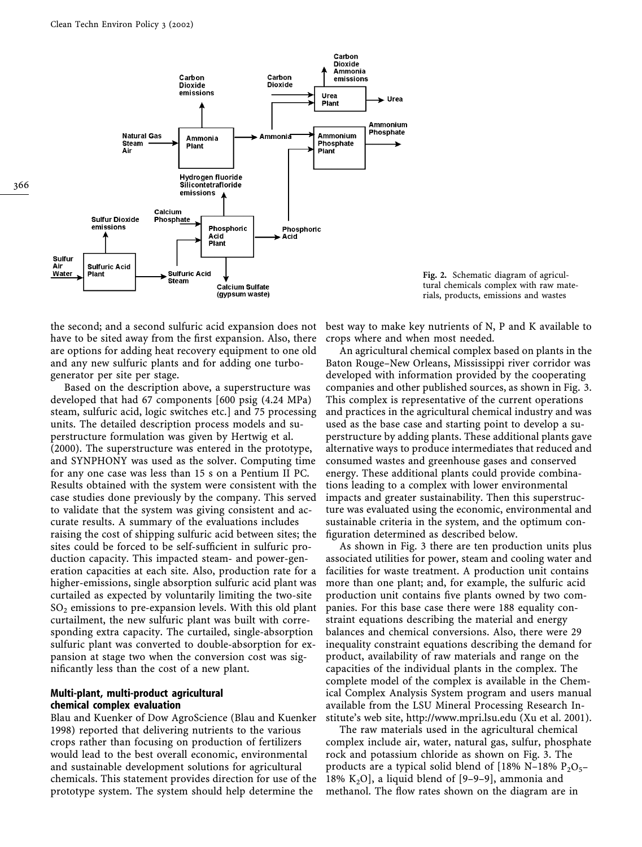

Fig. 2. Schematic diagram of agricultural chemicals complex with raw materials, products, emissions and wastes

the second; and a second sulfuric acid expansion does not have to be sited away from the first expansion. Also, there are options for adding heat recovery equipment to one old and any new sulfuric plants and for adding one turbogenerator per site per stage.

Based on the description above, a superstructure was developed that had 67 components [600 psig (4.24 MPa) steam, sulfuric acid, logic switches etc.] and 75 processing units. The detailed description process models and superstructure formulation was given by Hertwig et al. (2000). The superstructure was entered in the prototype, and SYNPHONY was used as the solver. Computing time for any one case was less than 15 s on a Pentium II PC. Results obtained with the system were consistent with the case studies done previously by the company. This served to validate that the system was giving consistent and accurate results. A summary of the evaluations includes raising the cost of shipping sulfuric acid between sites; the sites could be forced to be self-sufficient in sulfuric production capacity. This impacted steam- and power-generation capacities at each site. Also, production rate for a higher-emissions, single absorption sulfuric acid plant was curtailed as expected by voluntarily limiting the two-site  $SO<sub>2</sub>$  emissions to pre-expansion levels. With this old plant curtailment, the new sulfuric plant was built with corresponding extra capacity. The curtailed, single-absorption sulfuric plant was converted to double-absorption for expansion at stage two when the conversion cost was significantly less than the cost of a new plant.

# Multi-plant, multi-product agricultural chemical complex evaluation

Blau and Kuenker of Dow AgroScience (Blau and Kuenker 1998) reported that delivering nutrients to the various crops rather than focusing on production of fertilizers would lead to the best overall economic, environmental and sustainable development solutions for agricultural chemicals. This statement provides direction for use of the prototype system. The system should help determine the

best way to make key nutrients of N, P and K available to crops where and when most needed.

An agricultural chemical complex based on plants in the Baton Rouge–New Orleans, Mississippi river corridor was developed with information provided by the cooperating companies and other published sources, as shown in Fig. 3. This complex is representative of the current operations and practices in the agricultural chemical industry and was used as the base case and starting point to develop a superstructure by adding plants. These additional plants gave alternative ways to produce intermediates that reduced and consumed wastes and greenhouse gases and conserved energy. These additional plants could provide combinations leading to a complex with lower environmental impacts and greater sustainability. Then this superstructure was evaluated using the economic, environmental and sustainable criteria in the system, and the optimum configuration determined as described below.

As shown in Fig. 3 there are ten production units plus associated utilities for power, steam and cooling water and facilities for waste treatment. A production unit contains more than one plant; and, for example, the sulfuric acid production unit contains five plants owned by two companies. For this base case there were 188 equality constraint equations describing the material and energy balances and chemical conversions. Also, there were 29 inequality constraint equations describing the demand for product, availability of raw materials and range on the capacities of the individual plants in the complex. The complete model of the complex is available in the Chemical Complex Analysis System program and users manual available from the LSU Mineral Processing Research Institute's web site, http://www.mpri.lsu.edu (Xu et al. 2001).

The raw materials used in the agricultural chemical complex include air, water, natural gas, sulfur, phosphate rock and potassium chloride as shown on Fig. 3. The products are a typical solid blend of [18% N–18%  $P_2O_5$ – 18% K<sub>2</sub>O], a liquid blend of  $[9-9-9]$ , ammonia and methanol. The flow rates shown on the diagram are in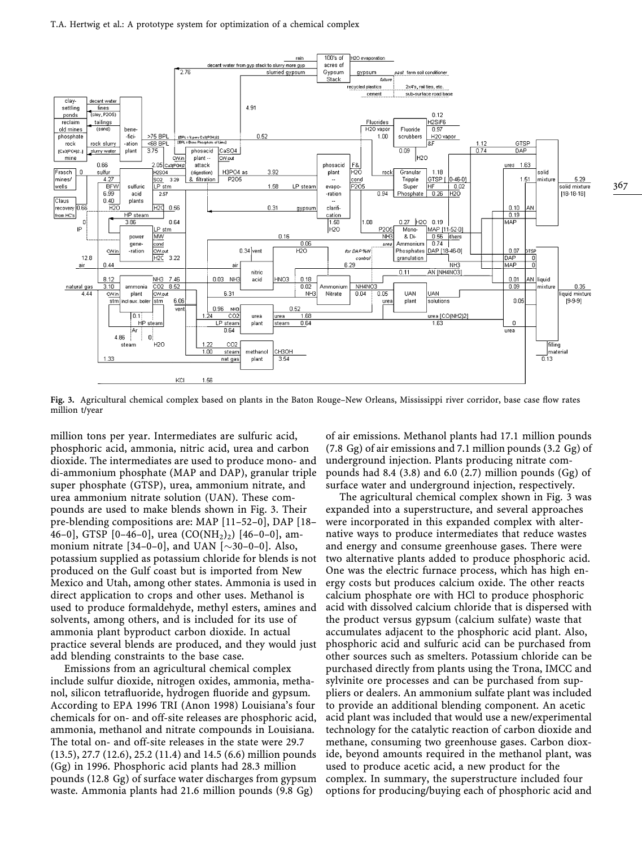

Fig. 3. Agricultural chemical complex based on plants in the Baton Rouge–New Orleans, Mississippi river corridor, base case flow rates million t/year

million tons per year. Intermediates are sulfuric acid, phosphoric acid, ammonia, nitric acid, urea and carbon dioxide. The intermediates are used to produce mono- and di-ammonium phosphate (MAP and DAP), granular triple super phosphate (GTSP), urea, ammonium nitrate, and urea ammonium nitrate solution (UAN). These compounds are used to make blends shown in Fig. 3. Their pre-blending compositions are: MAP [11–52–0], DAP [18– 46–0], GTSP [0–46–0], urea  $(CO(NH_2)_2)$  [46–0–0], ammonium nitrate [34–0–0], and UAN  $[\sim]30-0-0]$ . Also, potassium supplied as potassium chloride for blends is not produced on the Gulf coast but is imported from New Mexico and Utah, among other states. Ammonia is used in direct application to crops and other uses. Methanol is used to produce formaldehyde, methyl esters, amines and solvents, among others, and is included for its use of ammonia plant byproduct carbon dioxide. In actual practice several blends are produced, and they would just add blending constraints to the base case.

Emissions from an agricultural chemical complex include sulfur dioxide, nitrogen oxides, ammonia, methanol, silicon tetrafluoride, hydrogen fluoride and gypsum. According to EPA 1996 TRI (Anon 1998) Louisiana's four chemicals for on- and off-site releases are phosphoric acid, ammonia, methanol and nitrate compounds in Louisiana. The total on- and off-site releases in the state were 29.7 (13.5), 27.7 (12.6), 25.2 (11.4) and 14.5 (6.6) million pounds (Gg) in 1996. Phosphoric acid plants had 28.3 million pounds (12.8 Gg) of surface water discharges from gypsum waste. Ammonia plants had 21.6 million pounds (9.8 Gg)

of air emissions. Methanol plants had 17.1 million pounds (7.8 Gg) of air emissions and 7.1 million pounds (3.2 Gg) of underground injection. Plants producing nitrate compounds had 8.4 (3.8) and 6.0 (2.7) million pounds (Gg) of surface water and underground injection, respectively.

The agricultural chemical complex shown in Fig. 3 was expanded into a superstructure, and several approaches were incorporated in this expanded complex with alternative ways to produce intermediates that reduce wastes and energy and consume greenhouse gases. There were two alternative plants added to produce phosphoric acid. One was the electric furnace process, which has high energy costs but produces calcium oxide. The other reacts calcium phosphate ore with HCl to produce phosphoric acid with dissolved calcium chloride that is dispersed with the product versus gypsum (calcium sulfate) waste that accumulates adjacent to the phosphoric acid plant. Also, phosphoric acid and sulfuric acid can be purchased from other sources such as smelters. Potassium chloride can be purchased directly from plants using the Trona, IMCC and sylvinite ore processes and can be purchased from suppliers or dealers. An ammonium sulfate plant was included to provide an additional blending component. An acetic acid plant was included that would use a new/experimental technology for the catalytic reaction of carbon dioxide and methane, consuming two greenhouse gases. Carbon dioxide, beyond amounts required in the methanol plant, was used to produce acetic acid, a new product for the complex. In summary, the superstructure included four options for producing/buying each of phosphoric acid and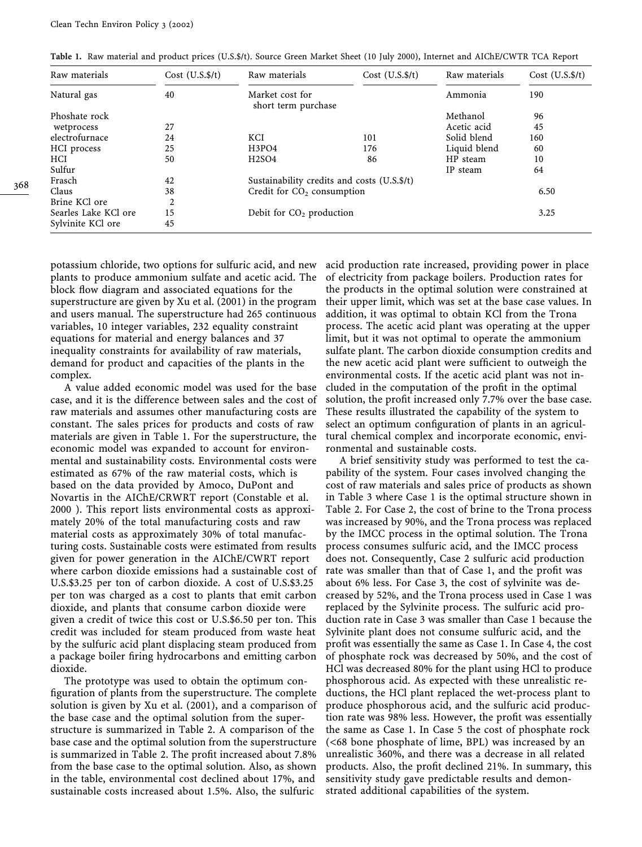|  |  |  |  |  |  |  | Table 1. Raw material and product prices (U.S.\$/t). Source Green Market Sheet (10 July 2000), Internet and AIChE/CWTR TCA Report |  |  |
|--|--|--|--|--|--|--|-----------------------------------------------------------------------------------------------------------------------------------|--|--|
|--|--|--|--|--|--|--|-----------------------------------------------------------------------------------------------------------------------------------|--|--|

| Raw materials        | $Cost (U.S. \frac{2}{3})$ | Raw materials                               | $Cost (U.S.\$ 5/t) | Raw materials | $Cost (U.S.\$ 5/t) |  |
|----------------------|---------------------------|---------------------------------------------|--------------------|---------------|--------------------|--|
| Natural gas<br>40    |                           | Market cost for<br>short term purchase      |                    | Ammonia       | 190                |  |
| Phoshate rock        |                           |                                             |                    | Methanol      | 96                 |  |
| wetprocess           | 27                        |                                             |                    | Acetic acid   | 45                 |  |
| electrofurnace       | 24                        | KCI                                         | 101                | Solid blend   | 160                |  |
| HCI process          | 25                        | H3PO4                                       | 176                | Liquid blend  | 60                 |  |
| HCI                  | 50                        | H2SO <sub>4</sub>                           | 86                 | HP steam      | 10                 |  |
| Sulfur               |                           |                                             |                    | IP steam      | 64                 |  |
| Frasch               | 42                        | Sustainability credits and costs (U.S.\$/t) |                    |               |                    |  |
| Claus                | 38                        | Credit for $CO2$ consumption                |                    |               | 6.50               |  |
| Brine KCl ore        | 2                         |                                             |                    |               |                    |  |
| Searles Lake KCl ore | 15                        | Debit for CO <sub>2</sub> production        |                    |               | 3.25               |  |
| Sylvinite KCl ore    | 45                        |                                             |                    |               |                    |  |

potassium chloride, two options for sulfuric acid, and new plants to produce ammonium sulfate and acetic acid. The block flow diagram and associated equations for the superstructure are given by Xu et al. (2001) in the program and users manual. The superstructure had 265 continuous variables, 10 integer variables, 232 equality constraint equations for material and energy balances and 37 inequality constraints for availability of raw materials, demand for product and capacities of the plants in the complex.

A value added economic model was used for the base case, and it is the difference between sales and the cost of raw materials and assumes other manufacturing costs are constant. The sales prices for products and costs of raw materials are given in Table 1. For the superstructure, the economic model was expanded to account for environmental and sustainability costs. Environmental costs were estimated as 67% of the raw material costs, which is based on the data provided by Amoco, DuPont and Novartis in the AIChE/CRWRT report (Constable et al. 2000 ). This report lists environmental costs as approximately 20% of the total manufacturing costs and raw material costs as approximately 30% of total manufacturing costs. Sustainable costs were estimated from results given for power generation in the AIChE/CWRT report where carbon dioxide emissions had a sustainable cost of U.S.\$3.25 per ton of carbon dioxide. A cost of U.S.\$3.25 per ton was charged as a cost to plants that emit carbon dioxide, and plants that consume carbon dioxide were given a credit of twice this cost or U.S.\$6.50 per ton. This credit was included for steam produced from waste heat by the sulfuric acid plant displacing steam produced from a package boiler firing hydrocarbons and emitting carbon dioxide.

The prototype was used to obtain the optimum configuration of plants from the superstructure. The complete solution is given by Xu et al. (2001), and a comparison of the base case and the optimal solution from the superstructure is summarized in Table 2. A comparison of the base case and the optimal solution from the superstructure is summarized in Table 2. The profit increased about 7.8% from the base case to the optimal solution. Also, as shown in the table, environmental cost declined about 17%, and sustainable costs increased about 1.5%. Also, the sulfuric

acid production rate increased, providing power in place of electricity from package boilers. Production rates for the products in the optimal solution were constrained at their upper limit, which was set at the base case values. In addition, it was optimal to obtain KCl from the Trona process. The acetic acid plant was operating at the upper limit, but it was not optimal to operate the ammonium sulfate plant. The carbon dioxide consumption credits and the new acetic acid plant were sufficient to outweigh the environmental costs. If the acetic acid plant was not included in the computation of the profit in the optimal solution, the profit increased only 7.7% over the base case. These results illustrated the capability of the system to select an optimum configuration of plants in an agricultural chemical complex and incorporate economic, environmental and sustainable costs.

A brief sensitivity study was performed to test the capability of the system. Four cases involved changing the cost of raw materials and sales price of products as shown in Table 3 where Case 1 is the optimal structure shown in Table 2. For Case 2, the cost of brine to the Trona process was increased by 90%, and the Trona process was replaced by the IMCC process in the optimal solution. The Trona process consumes sulfuric acid, and the IMCC process does not. Consequently, Case 2 sulfuric acid production rate was smaller than that of Case 1, and the profit was about 6% less. For Case 3, the cost of sylvinite was decreased by 52%, and the Trona process used in Case 1 was replaced by the Sylvinite process. The sulfuric acid production rate in Case 3 was smaller than Case 1 because the Sylvinite plant does not consume sulfuric acid, and the profit was essentially the same as Case 1. In Case 4, the cost of phosphate rock was decreased by 50%, and the cost of HCl was decreased 80% for the plant using HCl to produce phosphorous acid. As expected with these unrealistic reductions, the HCl plant replaced the wet-process plant to produce phosphorous acid, and the sulfuric acid production rate was 98% less. However, the profit was essentially the same as Case 1. In Case 5 the cost of phosphate rock (<68 bone phosphate of lime, BPL) was increased by an unrealistic 360%, and there was a decrease in all related products. Also, the profit declined 21%. In summary, this sensitivity study gave predictable results and demonstrated additional capabilities of the system.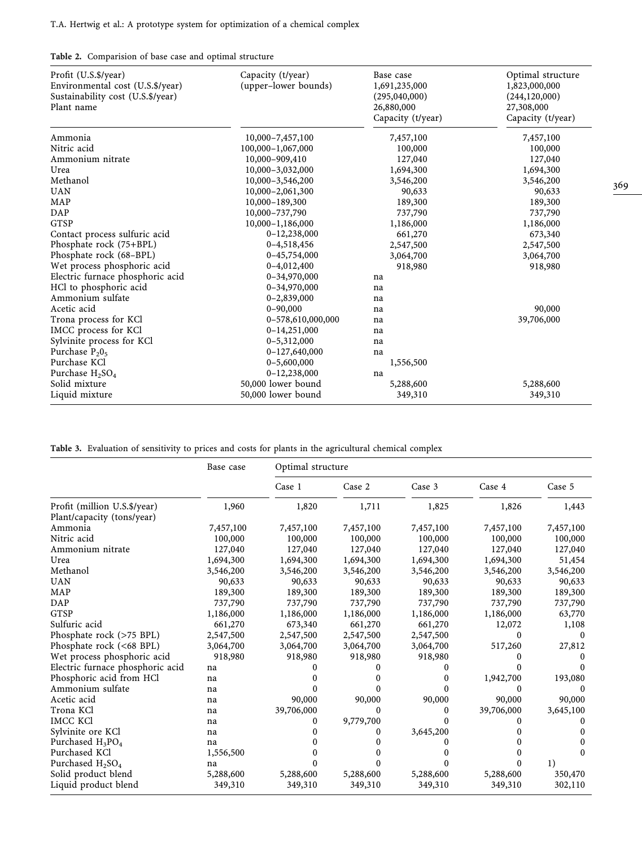| Table 2. Comparision of base case and optimal structure |  |
|---------------------------------------------------------|--|
|---------------------------------------------------------|--|

| Profit (U.S.\$/year)<br>Environmental cost (U.S.\$/year)<br>Sustainability cost (U.S.\$/year)<br>Plant name | Capacity (t/year)<br>(upper-lower bounds) | Base case<br>1,691,235,000<br>(295,040,000)<br>26,880,000<br>Capacity (t/year) | Optimal structure<br>1,823,000,000<br>(244, 120, 000)<br>27,308,000<br>Capacity (t/year) |
|-------------------------------------------------------------------------------------------------------------|-------------------------------------------|--------------------------------------------------------------------------------|------------------------------------------------------------------------------------------|
| Ammonia                                                                                                     | 10,000-7,457,100                          | 7,457,100                                                                      | 7,457,100                                                                                |
| Nitric acid                                                                                                 | 100,000-1,067,000                         | 100,000                                                                        | 100,000                                                                                  |
| Ammonium nitrate                                                                                            | 10,000-909,410                            | 127,040                                                                        | 127,040                                                                                  |
| Urea                                                                                                        | 10,000-3,032,000                          | 1,694,300                                                                      | 1,694,300                                                                                |
| Methanol                                                                                                    | 10,000-3,546,200                          | 3,546,200                                                                      | 3,546,200                                                                                |
| <b>UAN</b>                                                                                                  | 10,000-2,061,300                          | 90,633                                                                         | 90,633                                                                                   |
| <b>MAP</b>                                                                                                  | 10,000-189,300                            | 189,300                                                                        | 189,300                                                                                  |
| DAP                                                                                                         | 10,000-737,790                            | 737,790                                                                        | 737,790                                                                                  |
| <b>GTSP</b>                                                                                                 | 10,000-1,186,000                          | 1,186,000                                                                      | 1,186,000                                                                                |
| Contact process sulfuric acid                                                                               | $0 - 12,238,000$                          | 661,270                                                                        | 673,340                                                                                  |
| Phosphate rock (75+BPL)                                                                                     | 0-4,518,456                               | 2,547,500                                                                      | 2,547,500                                                                                |
| Phosphate rock (68-BPL)                                                                                     | 0-45,754,000                              | 3,064,700                                                                      | 3,064,700                                                                                |
| Wet process phosphoric acid                                                                                 | $0 - 4,012,400$                           | 918,980                                                                        | 918,980                                                                                  |
| Electric furnace phosphoric acid                                                                            | 0-34,970,000                              | na                                                                             |                                                                                          |
| HCl to phosphoric acid                                                                                      | 0-34,970,000                              | na                                                                             |                                                                                          |
| Ammonium sulfate                                                                                            | $0 - 2,839,000$                           | na                                                                             |                                                                                          |
| Acetic acid                                                                                                 | $0 - 90,000$                              | na                                                                             | 90,000                                                                                   |
| Trona process for KCl                                                                                       | 0-578,610,000,000                         | na                                                                             | 39,706,000                                                                               |
| IMCC process for KCl                                                                                        | $0-14,251,000$                            | na                                                                             |                                                                                          |
| Sylvinite process for KCl                                                                                   | $0 - 5,312,000$                           | na                                                                             |                                                                                          |
| Purchase $P_2O_5$                                                                                           | $0 - 127,640,000$                         | na                                                                             |                                                                                          |
| Purchase KCl                                                                                                | $0 - 5,600,000$                           | 1,556,500                                                                      |                                                                                          |
| Purchase $H_2SO_4$                                                                                          | $0 - 12,238,000$                          | na                                                                             |                                                                                          |
| Solid mixture                                                                                               | 50,000 lower bound                        | 5,288,600                                                                      | 5,288,600                                                                                |
| Liquid mixture                                                                                              | 50,000 lower bound                        | 349,310                                                                        | 349,310                                                                                  |

Table 3. Evaluation of sensitivity to prices and costs for plants in the agricultural chemical complex

|                                          | Base case | Optimal structure |           |           |              |           |  |
|------------------------------------------|-----------|-------------------|-----------|-----------|--------------|-----------|--|
|                                          |           | Case 1            | Case 2    | Case 3    | Case 4       | Case 5    |  |
| Profit (million U.S. \$/year)            | 1,960     | 1,820             | 1,711     | 1,825     | 1,826        | 1,443     |  |
| Plant/capacity (tons/year)               |           |                   |           |           |              |           |  |
| Ammonia                                  | 7,457,100 | 7,457,100         | 7,457,100 | 7,457,100 | 7,457,100    | 7,457,100 |  |
| Nitric acid                              | 100,000   | 100,000           | 100,000   | 100,000   | 100,000      | 100,000   |  |
| Ammonium nitrate                         | 127,040   | 127,040           | 127,040   | 127,040   | 127,040      | 127,040   |  |
| Urea                                     | 1,694,300 | 1,694,300         | 1,694,300 | 1,694,300 | 1,694,300    | 51,454    |  |
| Methanol                                 | 3,546,200 | 3,546,200         | 3,546,200 | 3,546,200 | 3,546,200    | 3,546,200 |  |
| <b>UAN</b>                               | 90,633    | 90,633            | 90,633    | 90,633    | 90,633       | 90,633    |  |
| MAP                                      | 189,300   | 189,300           | 189,300   | 189,300   | 189,300      | 189,300   |  |
| DAP                                      | 737,790   | 737,790           | 737,790   | 737,790   | 737,790      | 737,790   |  |
| <b>GTSP</b>                              | 1,186,000 | 1,186,000         | 1,186,000 | 1,186,000 | 1,186,000    | 63,770    |  |
| Sulfuric acid                            | 661,270   | 673,340           | 661,270   | 661,270   | 12,072       | 1,108     |  |
| Phosphate rock (>75 BPL)                 | 2,547,500 | 2,547,500         | 2,547,500 | 2,547,500 | $\Omega$     |           |  |
| Phosphate rock (<68 BPL)                 | 3,064,700 | 3,064,700         | 3,064,700 | 3,064,700 | 517,260      | 27,812    |  |
| Wet process phosphoric acid              | 918,980   | 918,980           | 918,980   | 918,980   | $\mathbf{0}$ |           |  |
| Electric furnace phosphoric acid         | na        |                   |           | 0         |              |           |  |
| Phosphoric acid from HCl                 | na        |                   |           |           | 1,942,700    | 193,080   |  |
| Ammonium sulfate                         | na        |                   |           |           | $\Omega$     | $\Omega$  |  |
| Acetic acid                              | na        | 90,000            | 90,000    | 90,000    | 90,000       | 90,000    |  |
| Trona KCl                                | na        | 39,706,000        | 0         | 0         | 39,706,000   | 3,645,100 |  |
| IMCC KCI                                 | na        |                   | 9,779,700 |           |              |           |  |
| Sylvinite ore KCl                        | na        |                   | 0         | 3,645,200 |              |           |  |
| Purchased $H_3PO_4$                      | na        |                   |           |           |              |           |  |
| Purchased KCl                            | 1,556,500 |                   |           |           |              | 0         |  |
| Purchased H <sub>2</sub> SO <sub>4</sub> | na        |                   |           |           | 0            | 1)        |  |
| Solid product blend                      | 5,288,600 | 5,288,600         | 5,288,600 | 5,288,600 | 5,288,600    | 350,470   |  |
| Liquid product blend                     | 349,310   | 349,310           | 349,310   | 349,310   | 349,310      | 302,110   |  |